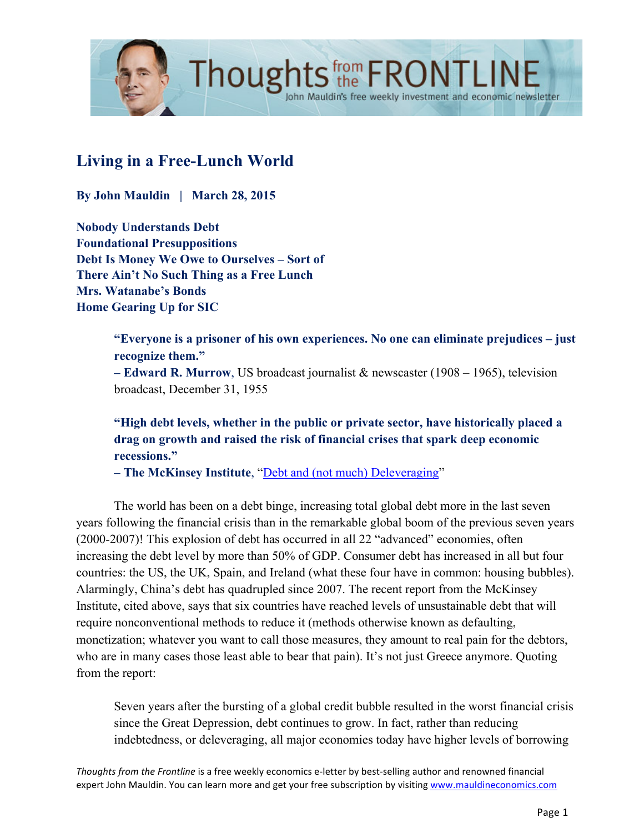

# **Living in a Free-Lunch World**

**By John Mauldin | March 28, 2015** 

**Nobody Understands Debt Foundational Presuppositions Debt Is Money We Owe to Ourselves – Sort of There Ain't No Such Thing as a Free Lunch Mrs. Watanabe's Bonds Home Gearing Up for SIC** 

> **"Everyone is a prisoner of his own experiences. No one can eliminate prejudices – just recognize them."**

John Mauldin's free weekly investment and economic newsletter

**– Edward R. Murrow**, US broadcast journalist & newscaster (1908 – 1965), television broadcast, December 31, 1955

**"High debt levels, whether in the public or private sector, have historically placed a drag on growth and raised the risk of financial crises that spark deep economic recessions."** 

**– The McKinsey Institute**, ["Debt and \(not much\) Deleveraging"](http://www.mckinsey.com/insights/economic_studies/debt_and_not_much_deleveraging) 

 The world has been on a debt binge, increasing total global debt more in the last seven years following the financial crisis than in the remarkable global boom of the previous seven years (2000-2007)! This explosion of debt has occurred in all 22 "advanced" economies, often increasing the debt level by more than 50% of GDP. Consumer debt has increased in all but four countries: the US, the UK, Spain, and Ireland (what these four have in common: housing bubbles). Alarmingly, China's debt has quadrupled since 2007. The recent report from the McKinsey Institute, cited above, says that six countries have reached levels of unsustainable debt that will require nonconventional methods to reduce it (methods otherwise known as defaulting, monetization; whatever you want to call those measures, they amount to real pain for the debtors, who are in many cases those least able to bear that pain). It's not just Greece anymore. Quoting from the report:

Seven years after the bursting of a global credit bubble resulted in the worst financial crisis since the Great Depression, debt continues to grow. In fact, rather than reducing indebtedness, or deleveraging, all major economies today have higher levels of borrowing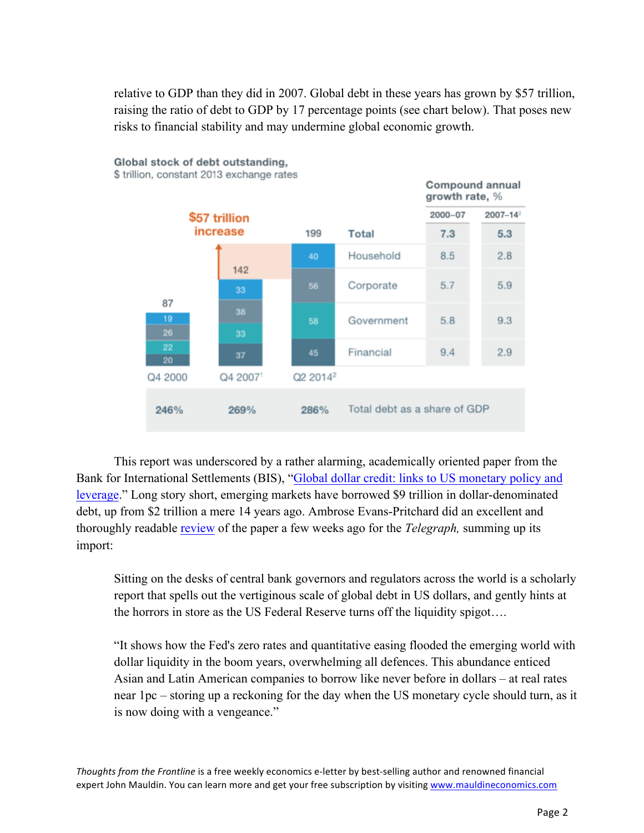relative to GDP than they did in 2007. Global debt in these years has grown by \$57 trillion, raising the ratio of debt to GDP by 17 percentage points (see chart below). That poses new risks to financial stability and may undermine global economic growth.



Global stock of debt outstanding, \$ trillion, constant 2013 exchange rates

 This report was underscored by a rather alarming, academically oriented paper from the Bank for International Settlements (BIS), ["Global dollar credit: links to US monetary policy and](http://www.bis.org/publ/work483.pdf)  [leverage."](http://www.bis.org/publ/work483.pdf) Long story short, emerging markets have borrowed \$9 trillion in dollar-denominated debt, up from \$2 trillion a mere 14 years ago. Ambrose Evans-Pritchard did an excellent and thoroughly readable [review](http://www.telegraph.co.uk/finance/comment/ambroseevans_pritchard/11465481/Global-finance-faces-9-trillion-stress-test-as-dollar-soars.html) of the paper a few weeks ago for the *Telegraph,* summing up its import:

Sitting on the desks of central bank governors and regulators across the world is a scholarly report that spells out the vertiginous scale of global debt in US dollars, and gently hints at the horrors in store as the US Federal Reserve turns off the liquidity spigot….

"It shows how the Fed's zero rates and quantitative easing flooded the emerging world with dollar liquidity in the boom years, overwhelming all defences. This abundance enticed Asian and Latin American companies to borrow like never before in dollars – at real rates near 1pc – storing up a reckoning for the day when the US monetary cycle should turn, as it is now doing with a vengeance."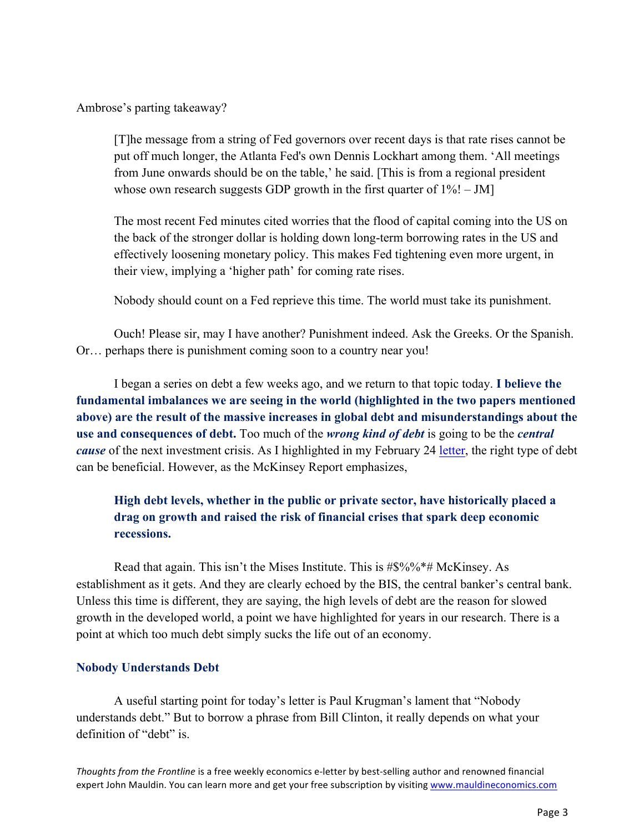Ambrose's parting takeaway?

[T]he message from a string of Fed governors over recent days is that rate rises cannot be put off much longer, the Atlanta Fed's own Dennis Lockhart among them. 'All meetings from June onwards should be on the table,' he said. [This is from a regional president whose own research suggests GDP growth in the first quarter of  $1\%$ ! – JM]

The most recent Fed minutes cited worries that the flood of capital coming into the US on the back of the stronger dollar is holding down long-term borrowing rates in the US and effectively loosening monetary policy. This makes Fed tightening even more urgent, in their view, implying a 'higher path' for coming rate rises.

Nobody should count on a Fed reprieve this time. The world must take its punishment.

Ouch! Please sir, may I have another? Punishment indeed. Ask the Greeks. Or the Spanish. Or… perhaps there is punishment coming soon to a country near you!

I began a series on debt a few weeks ago, and we return to that topic today. **I believe the fundamental imbalances we are seeing in the world (highlighted in the two papers mentioned above) are the result of the massive increases in global debt and misunderstandings about the use and consequences of debt.** Too much of the *wrong kind of debt* is going to be the *central cause* of the next investment crisis. As I highlighted in my February 24 [letter,](http://www.mauldineconomics.com/frontlinethoughts/debt-be-not-proud1#debt) the right type of debt can be beneficial. However, as the McKinsey Report emphasizes,

# **High debt levels, whether in the public or private sector, have historically placed a drag on growth and raised the risk of financial crises that spark deep economic recessions.**

Read that again. This isn't the Mises Institute. This is  $\#\$\%\%*\#$  McKinsey. As establishment as it gets. And they are clearly echoed by the BIS, the central banker's central bank. Unless this time is different, they are saying, the high levels of debt are the reason for slowed growth in the developed world, a point we have highlighted for years in our research. There is a point at which too much debt simply sucks the life out of an economy.

## **Nobody Understands Debt**

A useful starting point for today's letter is Paul Krugman's lament that "Nobody understands debt." But to borrow a phrase from Bill Clinton, it really depends on what your definition of "debt" is.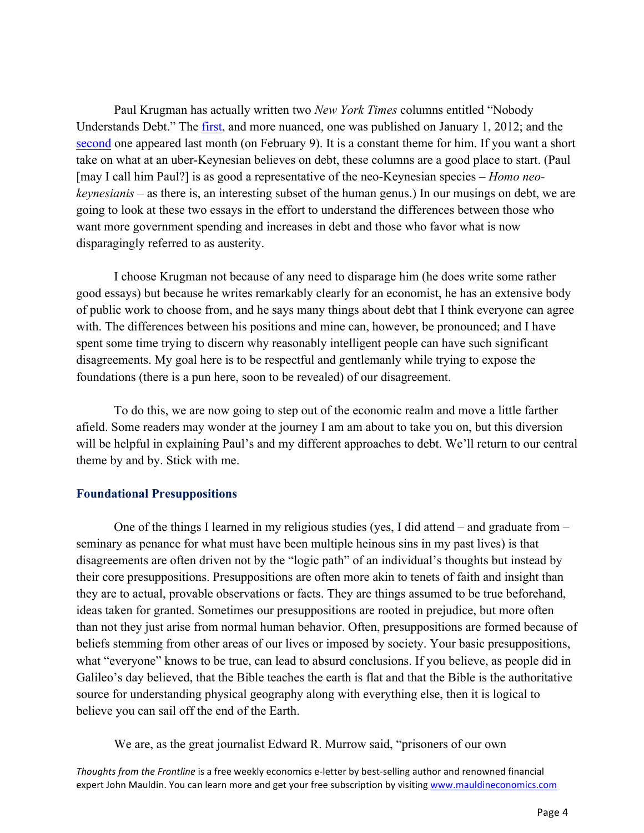Paul Krugman has actually written two *New York Times* columns entitled "Nobody Understands Debt." The [first,](http://www.nytimes.com/2012/01/02/opinion/krugman-nobody-understands-debt.html?module=ArrowsNav&contentCollection=Opinion&action=keypress®ion=FixedLeft&pgtype=article) and more nuanced, one was published on January 1, 2012; and the [second](http://www.nytimes.com/2015/02/09/opinion/paul-krugman-nobody-understands-debt.html) one appeared last month (on February 9). It is a constant theme for him. If you want a short take on what at an uber-Keynesian believes on debt, these columns are a good place to start. (Paul [may I call him Paul?] is as good a representative of the neo-Keynesian species – *Homo neokeynesianis* – as there is, an interesting subset of the human genus.) In our musings on debt, we are going to look at these two essays in the effort to understand the differences between those who want more government spending and increases in debt and those who favor what is now disparagingly referred to as austerity.

 I choose Krugman not because of any need to disparage him (he does write some rather good essays) but because he writes remarkably clearly for an economist, he has an extensive body of public work to choose from, and he says many things about debt that I think everyone can agree with. The differences between his positions and mine can, however, be pronounced; and I have spent some time trying to discern why reasonably intelligent people can have such significant disagreements. My goal here is to be respectful and gentlemanly while trying to expose the foundations (there is a pun here, soon to be revealed) of our disagreement.

 To do this, we are now going to step out of the economic realm and move a little farther afield. Some readers may wonder at the journey I am am about to take you on, but this diversion will be helpful in explaining Paul's and my different approaches to debt. We'll return to our central theme by and by. Stick with me.

## **Foundational Presuppositions**

 One of the things I learned in my religious studies (yes, I did attend – and graduate from – seminary as penance for what must have been multiple heinous sins in my past lives) is that disagreements are often driven not by the "logic path" of an individual's thoughts but instead by their core presuppositions. Presuppositions are often more akin to tenets of faith and insight than they are to actual, provable observations or facts. They are things assumed to be true beforehand, ideas taken for granted. Sometimes our presuppositions are rooted in prejudice, but more often than not they just arise from normal human behavior. Often, presuppositions are formed because of beliefs stemming from other areas of our lives or imposed by society. Your basic presuppositions, what "everyone" knows to be true, can lead to absurd conclusions. If you believe, as people did in Galileo's day believed, that the Bible teaches the earth is flat and that the Bible is the authoritative source for understanding physical geography along with everything else, then it is logical to believe you can sail off the end of the Earth.

We are, as the great journalist Edward R. Murrow said, "prisoners of our own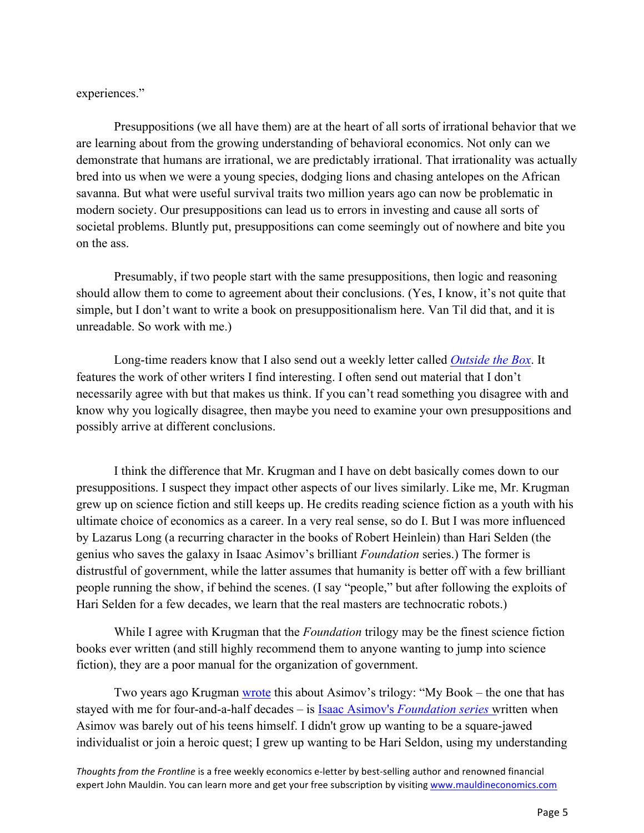experiences."

 Presuppositions (we all have them) are at the heart of all sorts of irrational behavior that we are learning about from the growing understanding of behavioral economics. Not only can we demonstrate that humans are irrational, we are predictably irrational. That irrationality was actually bred into us when we were a young species, dodging lions and chasing antelopes on the African savanna. But what were useful survival traits two million years ago can now be problematic in modern society. Our presuppositions can lead us to errors in investing and cause all sorts of societal problems. Bluntly put, presuppositions can come seemingly out of nowhere and bite you on the ass.

Presumably, if two people start with the same presuppositions, then logic and reasoning should allow them to come to agreement about their conclusions. (Yes, I know, it's not quite that simple, but I don't want to write a book on presuppositionalism here. Van Til did that, and it is unreadable. So work with me.)

Long-time readers know that I also send out a weekly letter called *[Outside the Box](http://www.mauldineconomics.com/outsidethebox)*. It features the work of other writers I find interesting. I often send out material that I don't necessarily agree with but that makes us think. If you can't read something you disagree with and know why you logically disagree, then maybe you need to examine your own presuppositions and possibly arrive at different conclusions.

I think the difference that Mr. Krugman and I have on debt basically comes down to our presuppositions. I suspect they impact other aspects of our lives similarly. Like me, Mr. Krugman grew up on science fiction and still keeps up. He credits reading science fiction as a youth with his ultimate choice of economics as a career. In a very real sense, so do I. But I was more influenced by Lazarus Long (a recurring character in the books of Robert Heinlein) than Hari Selden (the genius who saves the galaxy in Isaac Asimov's brilliant *Foundation* series.) The former is distrustful of government, while the latter assumes that humanity is better off with a few brilliant people running the show, if behind the scenes. (I say "people," but after following the exploits of Hari Selden for a few decades, we learn that the real masters are technocratic robots.)

While I agree with Krugman that the *Foundation* trilogy may be the finest science fiction books ever written (and still highly recommend them to anyone wanting to jump into science fiction), they are a poor manual for the organization of government.

Two years ago Krugman [wrote](http://www.theguardian.com/books/2012/dec/04/paul-krugman-asimov-economics) this about Asimov's trilogy: "My Book – the one that has stayed with me for four-and-a-half decades – is [Isaac Asimov's](http://www.guardian.co.uk/books/data/book/fiction/9781841593326/foundation-trilogy) *Foundation series* written when Asimov was barely out of his teens himself. I didn't grow up wanting to be a square-jawed individualist or join a heroic quest; I grew up wanting to be Hari Seldon, using my understanding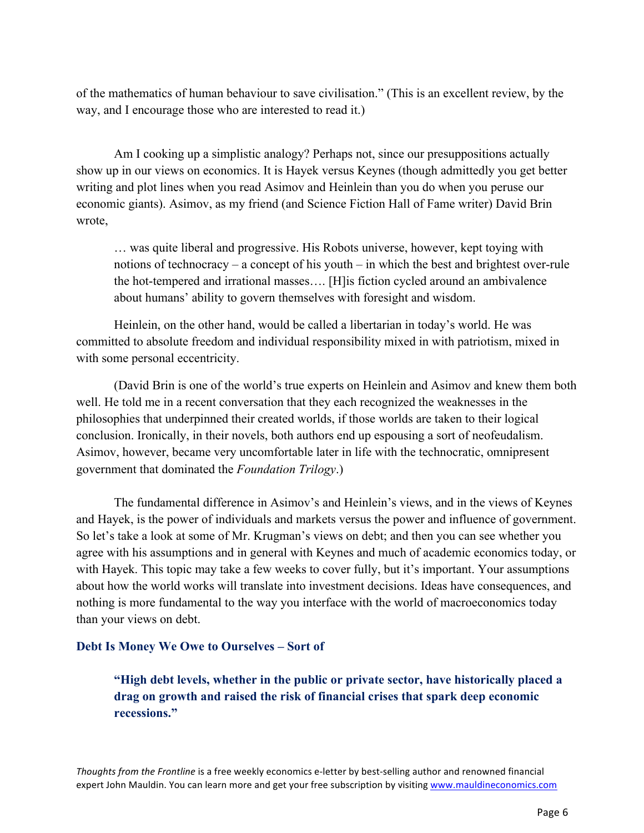of the mathematics of human behaviour to save civilisation." (This is an excellent review, by the way, and I encourage those who are interested to read it.)

Am I cooking up a simplistic analogy? Perhaps not, since our presuppositions actually show up in our views on economics. It is Hayek versus Keynes (though admittedly you get better writing and plot lines when you read Asimov and Heinlein than you do when you peruse our economic giants). Asimov, as my friend (and Science Fiction Hall of Fame writer) David Brin wrote,

… was quite liberal and progressive. His Robots universe, however, kept toying with notions of technocracy – a concept of his youth – in which the best and brightest over-rule the hot-tempered and irrational masses…. [H]is fiction cycled around an ambivalence about humans' ability to govern themselves with foresight and wisdom.

Heinlein, on the other hand, would be called a libertarian in today's world. He was committed to absolute freedom and individual responsibility mixed in with patriotism, mixed in with some personal eccentricity.

(David Brin is one of the world's true experts on Heinlein and Asimov and knew them both well. He told me in a recent conversation that they each recognized the weaknesses in the philosophies that underpinned their created worlds, if those worlds are taken to their logical conclusion. Ironically, in their novels, both authors end up espousing a sort of neofeudalism. Asimov, however, became very uncomfortable later in life with the technocratic, omnipresent government that dominated the *Foundation Trilogy*.)

The fundamental difference in Asimov's and Heinlein's views, and in the views of Keynes and Hayek, is the power of individuals and markets versus the power and influence of government. So let's take a look at some of Mr. Krugman's views on debt; and then you can see whether you agree with his assumptions and in general with Keynes and much of academic economics today, or with Hayek. This topic may take a few weeks to cover fully, but it's important. Your assumptions about how the world works will translate into investment decisions. Ideas have consequences, and nothing is more fundamental to the way you interface with the world of macroeconomics today than your views on debt.

#### **Debt Is Money We Owe to Ourselves – Sort of**

**"High debt levels, whether in the public or private sector, have historically placed a drag on growth and raised the risk of financial crises that spark deep economic recessions."**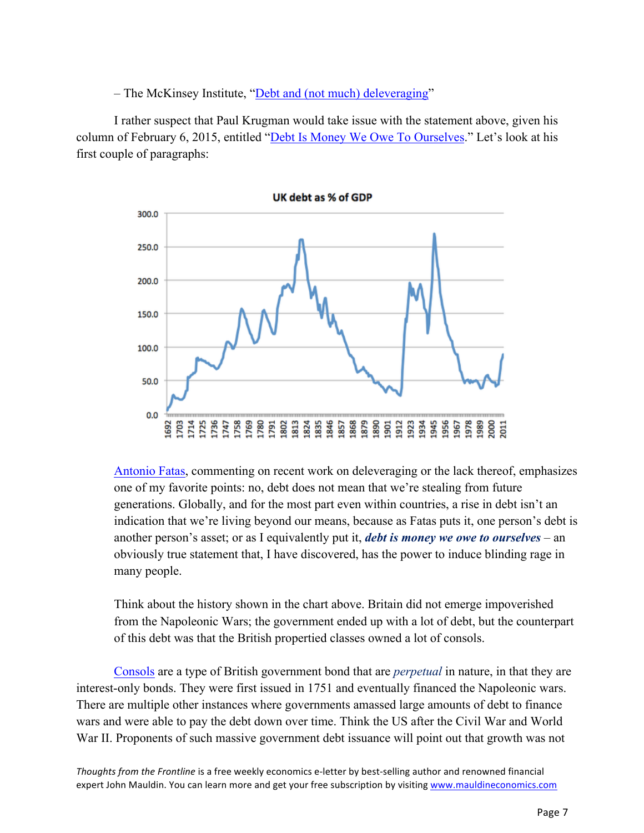– The McKinsey Institute, ["Debt and \(not much\) deleveraging"](http://www.mckinsey.com/insights/economic_studies/debt_and_not_much_deleveraging) 

I rather suspect that Paul Krugman would take issue with the statement above, given his column of February 6, 2015, entitled ["Debt Is Money We Owe To Ourselves."](http://krugman.blogs.nytimes.com/2015/02/06/debt-is-money-we-owe-to-ourselves/) Let's look at his first couple of paragraphs:



[Antonio Fatas,](http://fatasmihov.blogspot.com/2015/02/those-mountains-of-debt-and-assets.html) commenting on recent work on deleveraging or the lack thereof, emphasizes one of my favorite points: no, debt does not mean that we're stealing from future generations. Globally, and for the most part even within countries, a rise in debt isn't an indication that we're living beyond our means, because as Fatas puts it, one person's debt is another person's asset; or as I equivalently put it, *debt is money we owe to ourselves* – an obviously true statement that, I have discovered, has the power to induce blinding rage in many people.

Think about the history shown in the chart above. Britain did not emerge impoverished from the Napoleonic Wars; the government ended up with a lot of debt, but the counterpart of this debt was that the British propertied classes owned a lot of consols.

[Consols](http://en.wikipedia.org/wiki/Consol_%28bond%29) are a type of British government bond that are *perpetual* in nature, in that they are interest-only bonds. They were first issued in 1751 and eventually financed the Napoleonic wars. There are multiple other instances where governments amassed large amounts of debt to finance wars and were able to pay the debt down over time. Think the US after the Civil War and World War II. Proponents of such massive government debt issuance will point out that growth was not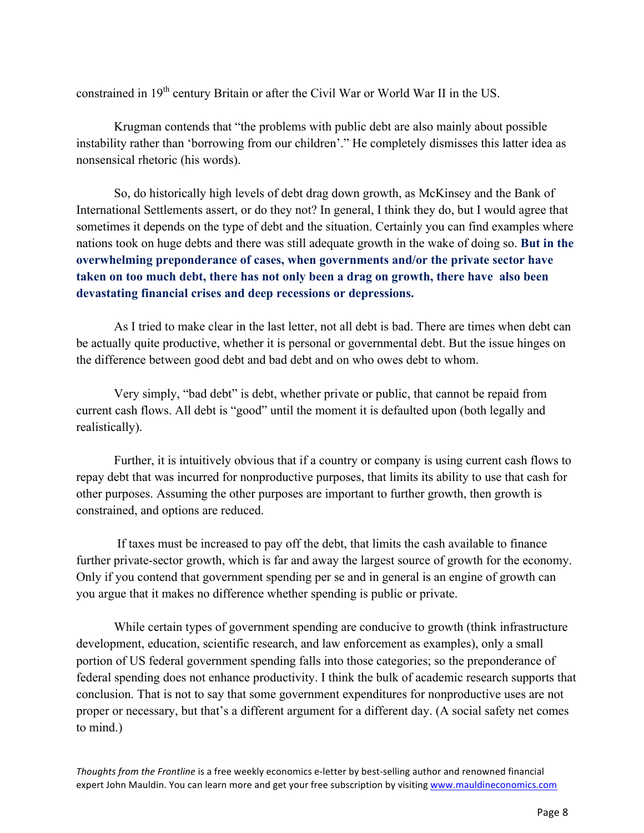constrained in 19<sup>th</sup> century Britain or after the Civil War or World War II in the US.

 Krugman contends that "the problems with public debt are also mainly about possible instability rather than 'borrowing from our children'." He completely dismisses this latter idea as nonsensical rhetoric (his words).

 So, do historically high levels of debt drag down growth, as McKinsey and the Bank of International Settlements assert, or do they not? In general, I think they do, but I would agree that sometimes it depends on the type of debt and the situation. Certainly you can find examples where nations took on huge debts and there was still adequate growth in the wake of doing so. **But in the overwhelming preponderance of cases, when governments and/or the private sector have taken on too much debt, there has not only been a drag on growth, there have also been devastating financial crises and deep recessions or depressions.**

As I tried to make clear in the last letter, not all debt is bad. There are times when debt can be actually quite productive, whether it is personal or governmental debt. But the issue hinges on the difference between good debt and bad debt and on who owes debt to whom.

 Very simply, "bad debt" is debt, whether private or public, that cannot be repaid from current cash flows. All debt is "good" until the moment it is defaulted upon (both legally and realistically).

Further, it is intuitively obvious that if a country or company is using current cash flows to repay debt that was incurred for nonproductive purposes, that limits its ability to use that cash for other purposes. Assuming the other purposes are important to further growth, then growth is constrained, and options are reduced.

 If taxes must be increased to pay off the debt, that limits the cash available to finance further private-sector growth, which is far and away the largest source of growth for the economy. Only if you contend that government spending per se and in general is an engine of growth can you argue that it makes no difference whether spending is public or private.

While certain types of government spending are conducive to growth (think infrastructure development, education, scientific research, and law enforcement as examples), only a small portion of US federal government spending falls into those categories; so the preponderance of federal spending does not enhance productivity. I think the bulk of academic research supports that conclusion. That is not to say that some government expenditures for nonproductive uses are not proper or necessary, but that's a different argument for a different day. (A social safety net comes to mind.)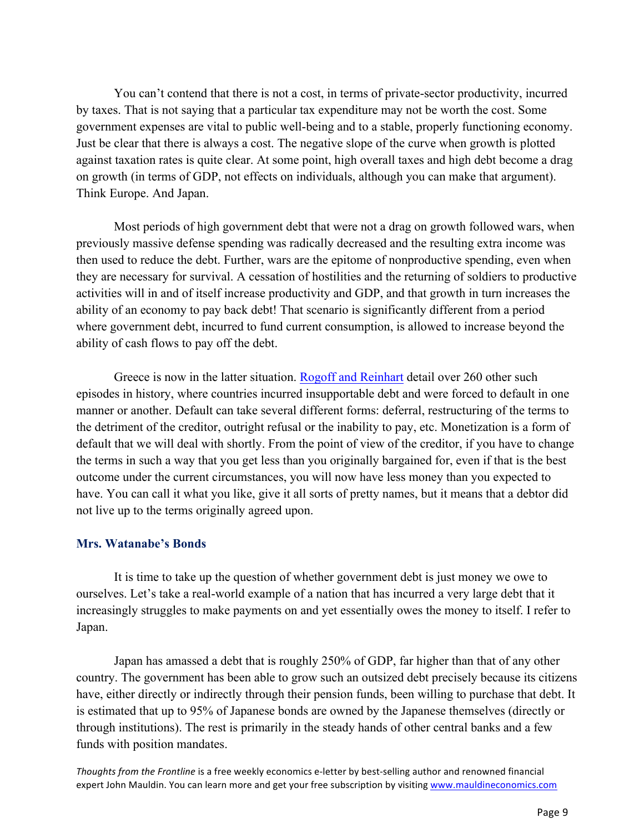You can't contend that there is not a cost, in terms of private-sector productivity, incurred by taxes. That is not saying that a particular tax expenditure may not be worth the cost. Some government expenses are vital to public well-being and to a stable, properly functioning economy. Just be clear that there is always a cost. The negative slope of the curve when growth is plotted against taxation rates is quite clear. At some point, high overall taxes and high debt become a drag on growth (in terms of GDP, not effects on individuals, although you can make that argument). Think Europe. And Japan.

 Most periods of high government debt that were not a drag on growth followed wars, when previously massive defense spending was radically decreased and the resulting extra income was then used to reduce the debt. Further, wars are the epitome of nonproductive spending, even when they are necessary for survival. A cessation of hostilities and the returning of soldiers to productive activities will in and of itself increase productivity and GDP, and that growth in turn increases the ability of an economy to pay back debt! That scenario is significantly different from a period where government debt, incurred to fund current consumption, is allowed to increase beyond the ability of cash flows to pay off the debt.

 Greece is now in the latter situation. [Rogoff and Reinhart d](http://www.reinhartandrogoff.com/)etail over 260 other such episodes in history, where countries incurred insupportable debt and were forced to default in one manner or another. Default can take several different forms: deferral, restructuring of the terms to the detriment of the creditor, outright refusal or the inability to pay, etc. Monetization is a form of default that we will deal with shortly. From the point of view of the creditor, if you have to change the terms in such a way that you get less than you originally bargained for, even if that is the best outcome under the current circumstances, you will now have less money than you expected to have. You can call it what you like, give it all sorts of pretty names, but it means that a debtor did not live up to the terms originally agreed upon.

#### **Mrs. Watanabe's Bonds**

 It is time to take up the question of whether government debt is just money we owe to ourselves. Let's take a real-world example of a nation that has incurred a very large debt that it increasingly struggles to make payments on and yet essentially owes the money to itself. I refer to Japan.

 Japan has amassed a debt that is roughly 250% of GDP, far higher than that of any other country. The government has been able to grow such an outsized debt precisely because its citizens have, either directly or indirectly through their pension funds, been willing to purchase that debt. It is estimated that up to 95% of Japanese bonds are owned by the Japanese themselves (directly or through institutions). The rest is primarily in the steady hands of other central banks and a few funds with position mandates.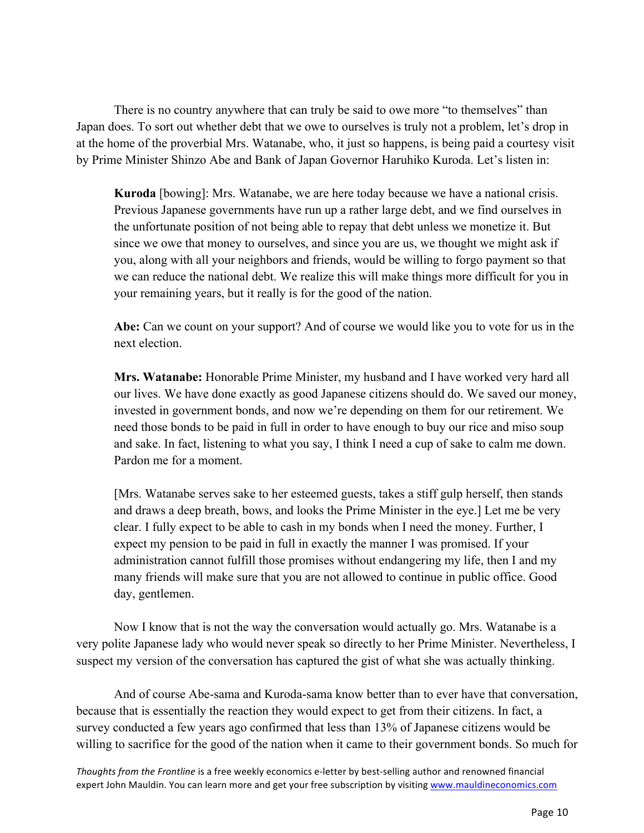There is no country anywhere that can truly be said to owe more "to themselves" than Japan does. To sort out whether debt that we owe to ourselves is truly not a problem, let's drop in at the home of the proverbial Mrs. Watanabe, who, it just so happens, is being paid a courtesy visit by Prime Minister Shinzo Abe and Bank of Japan Governor Haruhiko Kuroda. Let's listen in:

**Kuroda** [bowing]: Mrs. Watanabe, we are here today because we have a national crisis. Previous Japanese governments have run up a rather large debt, and we find ourselves in the unfortunate position of not being able to repay that debt unless we monetize it. But since we owe that money to ourselves, and since you are us, we thought we might ask if you, along with all your neighbors and friends, would be willing to forgo payment so that we can reduce the national debt. We realize this will make things more difficult for you in your remaining years, but it really is for the good of the nation.

**Abe:** Can we count on your support? And of course we would like you to vote for us in the next election.

**Mrs. Watanabe:** Honorable Prime Minister, my husband and I have worked very hard all our lives. We have done exactly as good Japanese citizens should do. We saved our money, invested in government bonds, and now we're depending on them for our retirement. We need those bonds to be paid in full in order to have enough to buy our rice and miso soup and sake. In fact, listening to what you say, I think I need a cup of sake to calm me down. Pardon me for a moment.

[Mrs. Watanabe serves sake to her esteemed guests, takes a stiff gulp herself, then stands and draws a deep breath, bows, and looks the Prime Minister in the eye.] Let me be very clear. I fully expect to be able to cash in my bonds when I need the money. Further, I expect my pension to be paid in full in exactly the manner I was promised. If your administration cannot fulfill those promises without endangering my life, then I and my many friends will make sure that you are not allowed to continue in public office. Good day, gentlemen.

 Now I know that is not the way the conversation would actually go. Mrs. Watanabe is a very polite Japanese lady who would never speak so directly to her Prime Minister. Nevertheless, I suspect my version of the conversation has captured the gist of what she was actually thinking.

And of course Abe-sama and Kuroda-sama know better than to ever have that conversation, because that is essentially the reaction they would expect to get from their citizens. In fact, a survey conducted a few years ago confirmed that less than 13% of Japanese citizens would be willing to sacrifice for the good of the nation when it came to their government bonds. So much for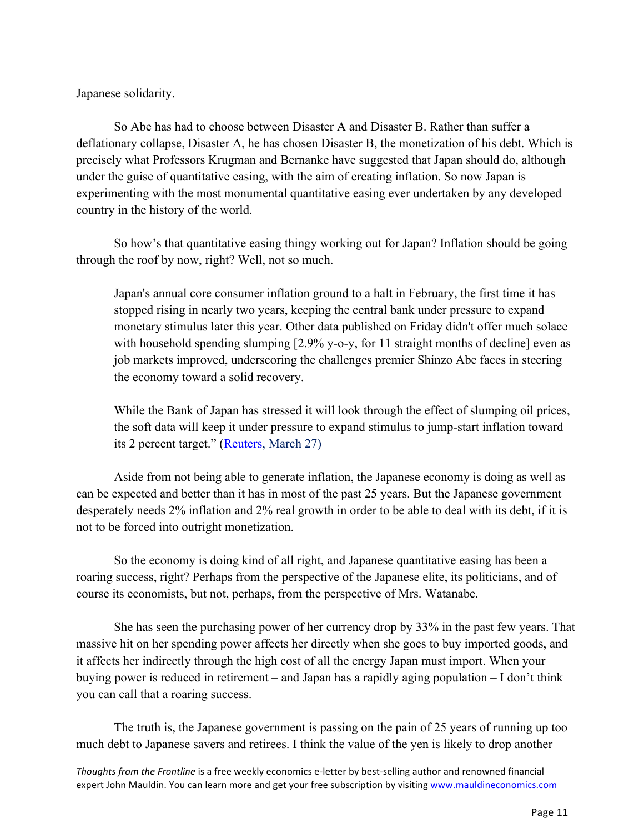Japanese solidarity.

 So Abe has had to choose between Disaster A and Disaster B. Rather than suffer a deflationary collapse, Disaster A, he has chosen Disaster B, the monetization of his debt. Which is precisely what Professors Krugman and Bernanke have suggested that Japan should do, although under the guise of quantitative easing, with the aim of creating inflation. So now Japan is experimenting with the most monumental quantitative easing ever undertaken by any developed country in the history of the world.

 So how's that quantitative easing thingy working out for Japan? Inflation should be going through the roof by now, right? Well, not so much.

Japan's annual core consumer inflation ground to a halt in February, the first time it has stopped rising in nearly two years, keeping the central bank under pressure to expand monetary stimulus later this year. Other data published on Friday didn't offer much solace with household spending slumping [2.9% y-o-y, for 11 straight months of decline] even as job markets improved, underscoring the challenges premier Shinzo Abe faces in steering the economy toward a solid recovery.

While the Bank of Japan has stressed it will look through the effect of slumping oil prices, the soft data will keep it under pressure to expand stimulus to jump-start inflation toward its 2 percent target." [\(Reuters,](http://www.reuters.com/article/2015/03/27/us-japan-economy-cpi-idUSKBN0MM33Y20150327) March 27)

 Aside from not being able to generate inflation, the Japanese economy is doing as well as can be expected and better than it has in most of the past 25 years. But the Japanese government desperately needs 2% inflation and 2% real growth in order to be able to deal with its debt, if it is not to be forced into outright monetization.

 So the economy is doing kind of all right, and Japanese quantitative easing has been a roaring success, right? Perhaps from the perspective of the Japanese elite, its politicians, and of course its economists, but not, perhaps, from the perspective of Mrs. Watanabe.

 She has seen the purchasing power of her currency drop by 33% in the past few years. That massive hit on her spending power affects her directly when she goes to buy imported goods, and it affects her indirectly through the high cost of all the energy Japan must import. When your buying power is reduced in retirement – and Japan has a rapidly aging population – I don't think you can call that a roaring success.

 The truth is, the Japanese government is passing on the pain of 25 years of running up too much debt to Japanese savers and retirees. I think the value of the yen is likely to drop another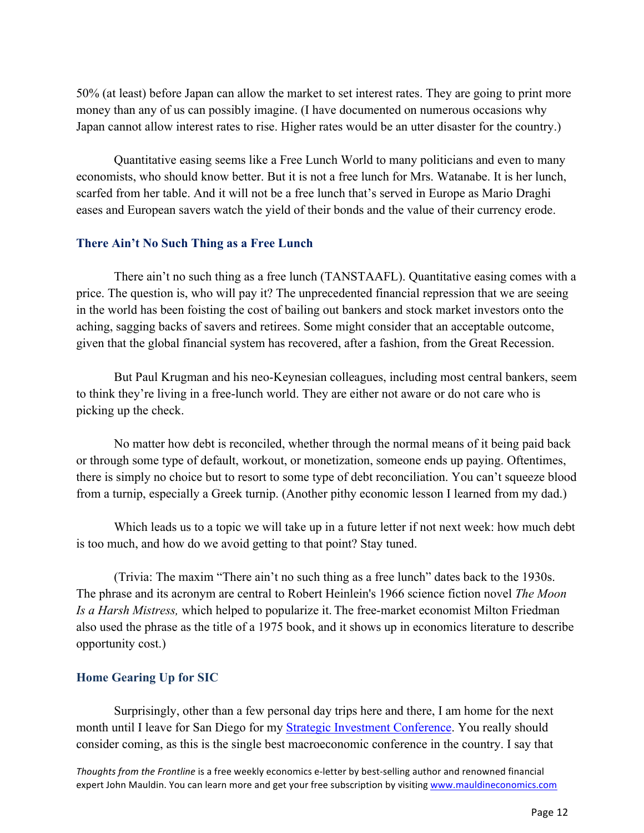50% (at least) before Japan can allow the market to set interest rates. They are going to print more money than any of us can possibly imagine. (I have documented on numerous occasions why Japan cannot allow interest rates to rise. Higher rates would be an utter disaster for the country.)

 Quantitative easing seems like a Free Lunch World to many politicians and even to many economists, who should know better. But it is not a free lunch for Mrs. Watanabe. It is her lunch, scarfed from her table. And it will not be a free lunch that's served in Europe as Mario Draghi eases and European savers watch the yield of their bonds and the value of their currency erode.

#### **There Ain't No Such Thing as a Free Lunch**

 There ain't no such thing as a free lunch (TANSTAAFL). Quantitative easing comes with a price. The question is, who will pay it? The unprecedented financial repression that we are seeing in the world has been foisting the cost of bailing out bankers and stock market investors onto the aching, sagging backs of savers and retirees. Some might consider that an acceptable outcome, given that the global financial system has recovered, after a fashion, from the Great Recession.

 But Paul Krugman and his neo-Keynesian colleagues, including most central bankers, seem to think they're living in a free-lunch world. They are either not aware or do not care who is picking up the check.

 No matter how debt is reconciled, whether through the normal means of it being paid back or through some type of default, workout, or monetization, someone ends up paying. Oftentimes, there is simply no choice but to resort to some type of debt reconciliation. You can't squeeze blood from a turnip, especially a Greek turnip. (Another pithy economic lesson I learned from my dad.)

 Which leads us to a topic we will take up in a future letter if not next week: how much debt is too much, and how do we avoid getting to that point? Stay tuned.

 (Trivia: The maxim "There ain't no such thing as a free lunch" dates back to the 1930s. The phrase and its acronym are central to Robert Heinlein's 1966 science fiction novel *The Moon Is a Harsh Mistress,* which helped to popularize it. The free-market economist Milton Friedman also used the phrase as the title of a 1975 book, and it shows up in economics literature to describe opportunity cost.)

## **Home Gearing Up for SIC**

 Surprisingly, other than a few personal day trips here and there, I am home for the next month until I leave for San Diego for my [Strategic Investment Conference.](http://www.altegris.com/mauldinsic/index) You really should consider coming, as this is the single best macroeconomic conference in the country. I say that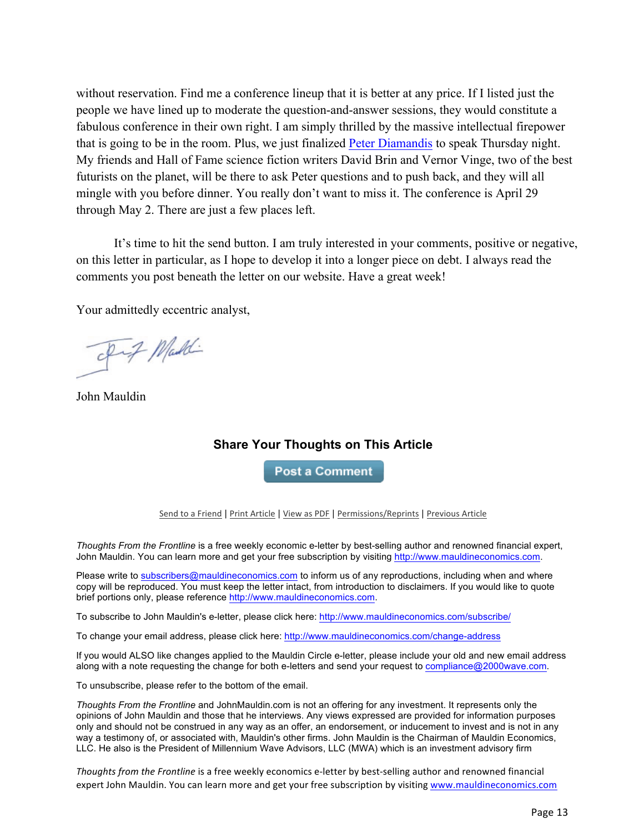without reservation. Find me a conference lineup that it is better at any price. If I listed just the people we have lined up to moderate the question-and-answer sessions, they would constitute a fabulous conference in their own right. I am simply thrilled by the massive intellectual firepower that is going to be in the room. Plus, we just finalized [Peter Diamandis](http://en.wikipedia.org/wiki/Peter_Diamandis) to speak Thursday night. My friends and Hall of Fame science fiction writers David Brin and Vernor Vinge, two of the best futurists on the planet, will be there to ask Peter questions and to push back, and they will all mingle with you before dinner. You really don't want to miss it. The conference is April 29 through May 2. There are just a few places left.

 It's time to hit the send button. I am truly interested in your comments, positive or negative, on this letter in particular, as I hope to develop it into a longer piece on debt. I always read the comments you post beneath the letter on our website. Have a great week!

Your admittedly eccentric analyst,

Of Maddi

John Mauldin

# **Share Your Thoughts on This Article**

**Post a Comment** 

Send to a Friend | Print Article | View as PDF | Permissions/Reprints | Previous Article

*Thoughts From the Frontline* is a free weekly economic e-letter by best-selling author and renowned financial expert, John Mauldin. You can learn more and get your free subscription by visiting http://www.mauldineconomics.com.

Please write to subscribers@mauldineconomics.com to inform us of any reproductions, including when and where copy will be reproduced. You must keep the letter intact, from introduction to disclaimers. If you would like to quote brief portions only, please reference http://www.mauldineconomics.com.

To subscribe to John Mauldin's e-letter, please click here: http://www.mauldineconomics.com/subscribe/

To change your email address, please click here: http://www.mauldineconomics.com/change-address

If you would ALSO like changes applied to the Mauldin Circle e-letter, please include your old and new email address along with a note requesting the change for both e-letters and send your request to compliance@2000wave.com.

To unsubscribe, please refer to the bottom of the email.

*Thoughts From the Frontline* and JohnMauldin.com is not an offering for any investment. It represents only the opinions of John Mauldin and those that he interviews. Any views expressed are provided for information purposes only and should not be construed in any way as an offer, an endorsement, or inducement to invest and is not in any way a testimony of, or associated with, Mauldin's other firms. John Mauldin is the Chairman of Mauldin Economics, LLC. He also is the President of Millennium Wave Advisors, LLC (MWA) which is an investment advisory firm